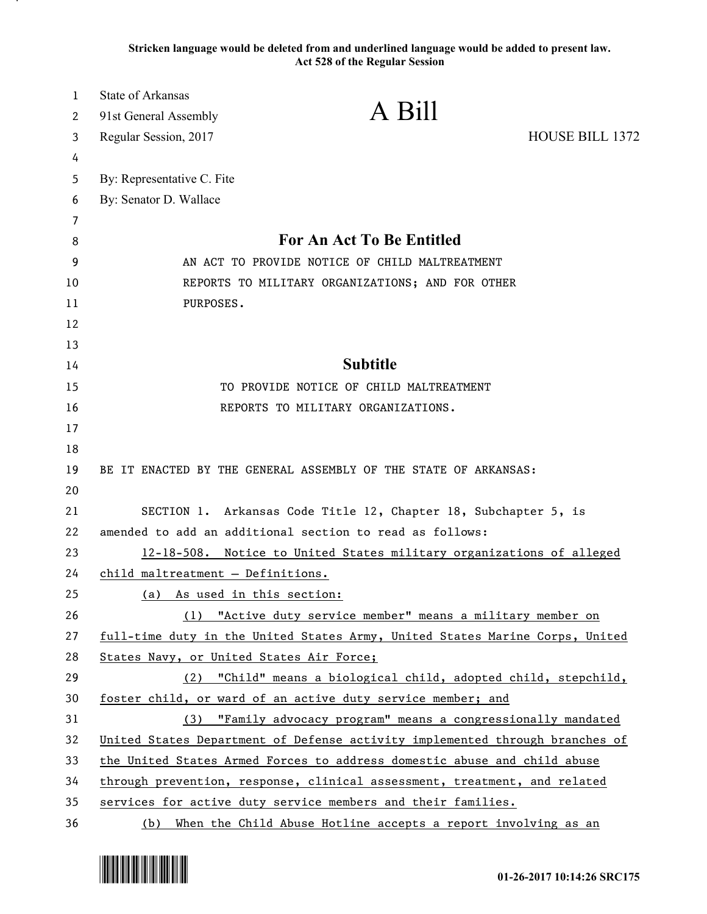**Stricken language would be deleted from and underlined language would be added to present law. Act 528 of the Regular Session**

| $\mathbf 1$ | <b>State of Arkansas</b>                                                 | A Bill                                                                       |                 |
|-------------|--------------------------------------------------------------------------|------------------------------------------------------------------------------|-----------------|
| 2           | 91st General Assembly                                                    |                                                                              |                 |
| 3           | Regular Session, 2017                                                    |                                                                              | HOUSE BILL 1372 |
| 4           |                                                                          |                                                                              |                 |
| 5           | By: Representative C. Fite                                               |                                                                              |                 |
| 6           | By: Senator D. Wallace                                                   |                                                                              |                 |
| 7           |                                                                          |                                                                              |                 |
| 8           | For An Act To Be Entitled                                                |                                                                              |                 |
| 9           | AN ACT TO PROVIDE NOTICE OF CHILD MALTREATMENT                           |                                                                              |                 |
| 10          | REPORTS TO MILITARY ORGANIZATIONS; AND FOR OTHER                         |                                                                              |                 |
| 11          | PURPOSES.                                                                |                                                                              |                 |
| 12          |                                                                          |                                                                              |                 |
| 13          |                                                                          |                                                                              |                 |
| 14          | <b>Subtitle</b>                                                          |                                                                              |                 |
| 15          | TO PROVIDE NOTICE OF CHILD MALTREATMENT                                  |                                                                              |                 |
| 16          |                                                                          | REPORTS TO MILITARY ORGANIZATIONS.                                           |                 |
| 17          |                                                                          |                                                                              |                 |
| 18          |                                                                          |                                                                              |                 |
| 19          |                                                                          | BE IT ENACTED BY THE GENERAL ASSEMBLY OF THE STATE OF ARKANSAS:              |                 |
| 20          |                                                                          |                                                                              |                 |
| 21          |                                                                          | SECTION 1. Arkansas Code Title 12, Chapter 18, Subchapter 5, is              |                 |
| 22          |                                                                          | amended to add an additional section to read as follows:                     |                 |
| 23          | 12-18-508. Notice to United States military organizations of alleged     |                                                                              |                 |
| 24          | child maltreatment - Definitions.                                        |                                                                              |                 |
| 25          | (a) As used in this section:                                             |                                                                              |                 |
| 26          |                                                                          | (1) "Active duty service member" means a military member on                  |                 |
| 27          |                                                                          | full-time duty in the United States Army, United States Marine Corps, United |                 |
| 28          | States Navy, or United States Air Force;                                 |                                                                              |                 |
| 29          | (2)                                                                      | "Child" means a biological child, adopted child, stepchild,                  |                 |
| 30          |                                                                          | foster child, or ward of an active duty service member; and                  |                 |
| 31          | (3)                                                                      | "Family advocacy program" means a congressionally mandated                   |                 |
| 32          |                                                                          | United States Department of Defense activity implemented through branches of |                 |
| 33          | the United States Armed Forces to address domestic abuse and child abuse |                                                                              |                 |
| 34          |                                                                          | through prevention, response, clinical assessment, treatment, and related    |                 |
| 35          |                                                                          | services for active duty service members and their families.                 |                 |
| 36          |                                                                          | (b) When the Child Abuse Hotline accepts a report involving as an            |                 |

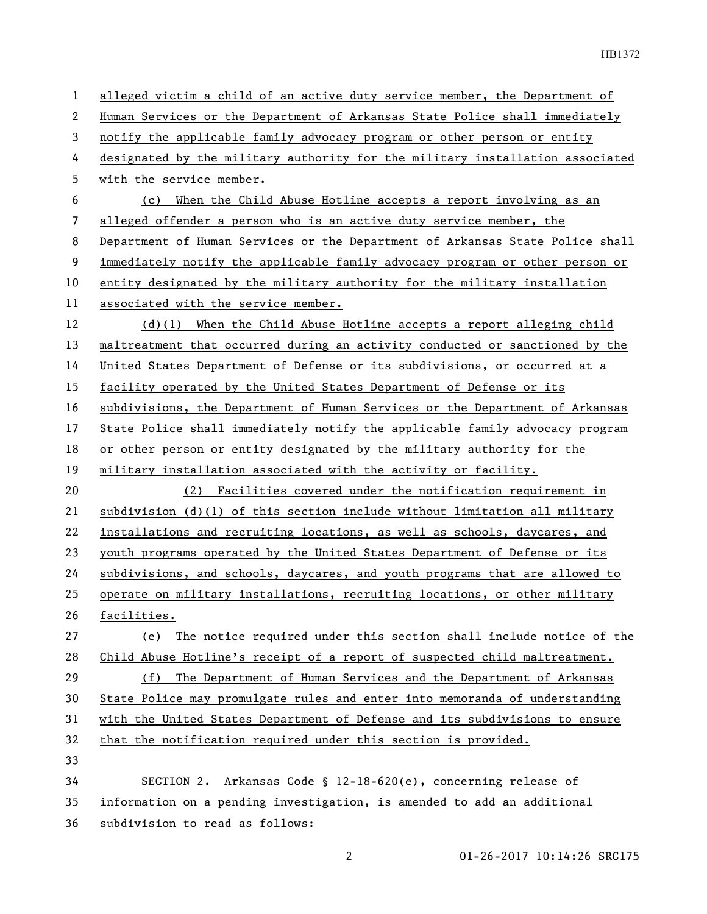alleged victim a child of an active duty service member, the Department of Human Services or the Department of Arkansas State Police shall immediately notify the applicable family advocacy program or other person or entity designated by the military authority for the military installation associated with the service member. (c) When the Child Abuse Hotline accepts a report involving as an alleged offender a person who is an active duty service member, the Department of Human Services or the Department of Arkansas State Police shall immediately notify the applicable family advocacy program or other person or entity designated by the military authority for the military installation associated with the service member. (d)(1) When the Child Abuse Hotline accepts a report alleging child maltreatment that occurred during an activity conducted or sanctioned by the United States Department of Defense or its subdivisions, or occurred at a 15 facility operated by the United States Department of Defense or its subdivisions, the Department of Human Services or the Department of Arkansas State Police shall immediately notify the applicable family advocacy program or other person or entity designated by the military authority for the military installation associated with the activity or facility. (2) Facilities covered under the notification requirement in subdivision (d)(1) of this section include without limitation all military installations and recruiting locations, as well as schools, daycares, and youth programs operated by the United States Department of Defense or its subdivisions, and schools, daycares, and youth programs that are allowed to operate on military installations, recruiting locations, or other military facilities. (e) The notice required under this section shall include notice of the Child Abuse Hotline's receipt of a report of suspected child maltreatment. (f) The Department of Human Services and the Department of Arkansas State Police may promulgate rules and enter into memoranda of understanding with the United States Department of Defense and its subdivisions to ensure that the notification required under this section is provided. SECTION 2. Arkansas Code § 12-18-620(e), concerning release of information on a pending investigation, is amended to add an additional subdivision to read as follows: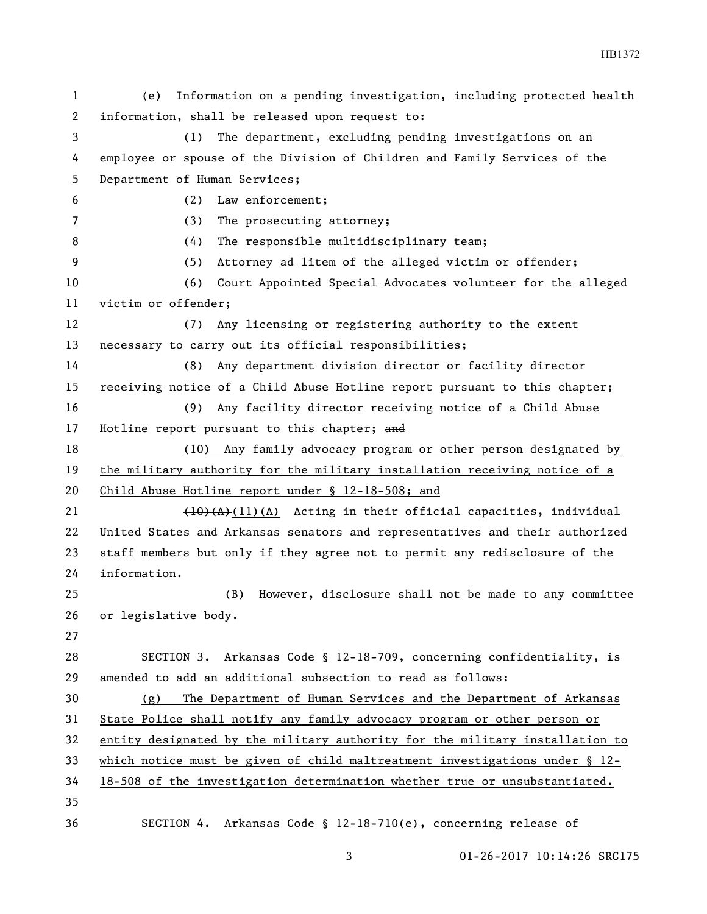(e) Information on a pending investigation, including protected health information, shall be released upon request to: (1) The department, excluding pending investigations on an employee or spouse of the Division of Children and Family Services of the Department of Human Services; (2) Law enforcement; (3) The prosecuting attorney; 8 (4) The responsible multidisciplinary team; (5) Attorney ad litem of the alleged victim or offender; (6) Court Appointed Special Advocates volunteer for the alleged victim or offender; (7) Any licensing or registering authority to the extent necessary to carry out its official responsibilities; (8) Any department division director or facility director receiving notice of a Child Abuse Hotline report pursuant to this chapter; (9) Any facility director receiving notice of a Child Abuse 17 Hotline report pursuant to this chapter; and (10) Any family advocacy program or other person designated by the military authority for the military installation receiving notice of a Child Abuse Hotline report under § 12-18-508; and 21 ( $\overline{40}(A)(11)(A)$  Acting in their official capacities, individual United States and Arkansas senators and representatives and their authorized staff members but only if they agree not to permit any redisclosure of the information. (B) However, disclosure shall not be made to any committee or legislative body. SECTION 3. Arkansas Code § 12-18-709, concerning confidentiality, is amended to add an additional subsection to read as follows: (g) The Department of Human Services and the Department of Arkansas 31 State Police shall notify any family advocacy program or other person or entity designated by the military authority for the military installation to which notice must be given of child maltreatment investigations under § 12- 18-508 of the investigation determination whether true or unsubstantiated. SECTION 4. Arkansas Code § 12-18-710(e), concerning release of

HB1372

01-26-2017 10:14:26 SRC175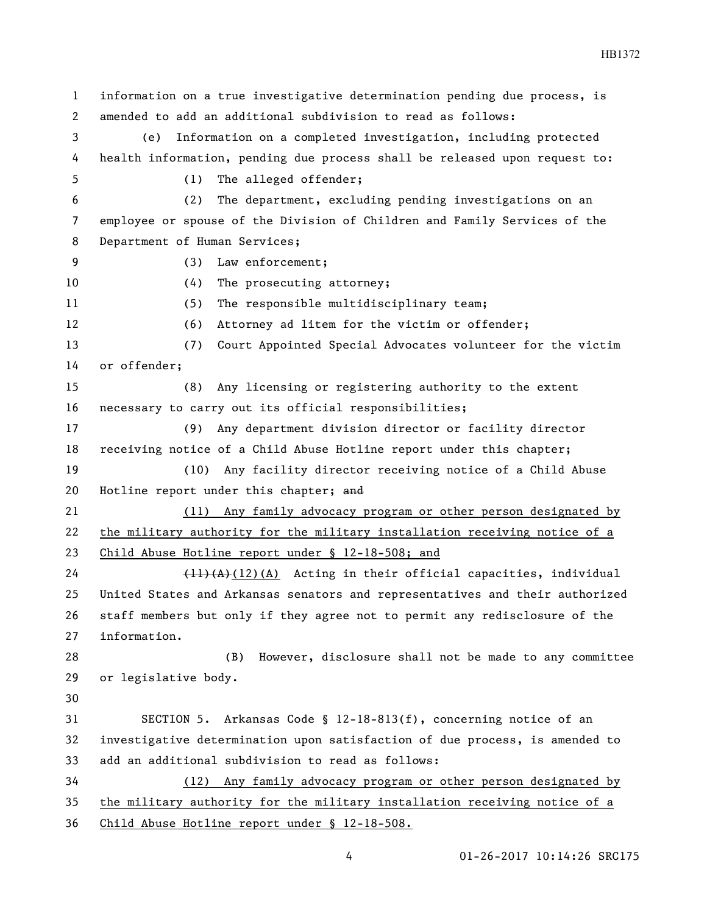information on a true investigative determination pending due process, is amended to add an additional subdivision to read as follows: (e) Information on a completed investigation, including protected health information, pending due process shall be released upon request to: (1) The alleged offender; (2) The department, excluding pending investigations on an employee or spouse of the Division of Children and Family Services of the Department of Human Services; (3) Law enforcement; 10 (4) The prosecuting attorney; (5) The responsible multidisciplinary team; (6) Attorney ad litem for the victim or offender; (7) Court Appointed Special Advocates volunteer for the victim or offender; (8) Any licensing or registering authority to the extent necessary to carry out its official responsibilities; (9) Any department division director or facility director receiving notice of a Child Abuse Hotline report under this chapter; (10) Any facility director receiving notice of a Child Abuse 20 Hotline report under this chapter; and (11) Any family advocacy program or other person designated by the military authority for the military installation receiving notice of a Child Abuse Hotline report under § 12-18-508; and  $\left(\frac{11}{A}\right)(12)(A)$  Acting in their official capacities, individual United States and Arkansas senators and representatives and their authorized staff members but only if they agree not to permit any redisclosure of the information. (B) However, disclosure shall not be made to any committee or legislative body. SECTION 5. Arkansas Code § 12-18-813(f), concerning notice of an investigative determination upon satisfaction of due process, is amended to add an additional subdivision to read as follows: (12) Any family advocacy program or other person designated by the military authority for the military installation receiving notice of a Child Abuse Hotline report under § 12-18-508.

HB1372